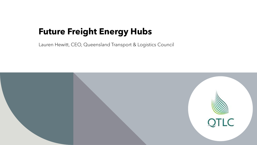# **Future Freight Energy Hubs**

Lauren Hewitt, CEO, Queensland Transport & Logistics Council

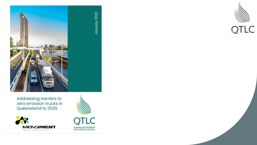





January 2022



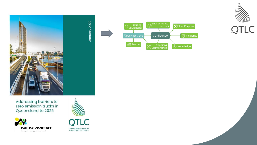





QUEENSLAND TRANSPORT<br>AND LOGISTICS COUNCIL



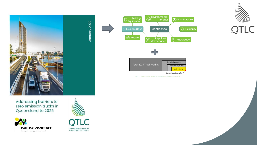





TI C QUEENSLAND TRANSPORT<br>AND LOGISTICS COUNCIL





Figure 1 - The barriers that constrain ZE truck uptake in the Queensland market

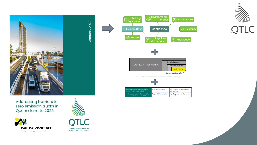





QUEENSLAND TRANSPORT<br>AND LOGISTICS COUNCIL



| Total 2025 Truck Market | <b>Technically capable</b>                     |  |  |
|-------------------------|------------------------------------------------|--|--|
|                         | Economically viable<br><b>Likely potential</b> |  |  |
| Current uptake / sales  |                                                |  |  |

Figure 1 - The barriers that constrain ZE truck uptake in the Queensland market



| High confidence of compatibility for<br>battery electric trucks in 2025     | Urban delivery trucks           | Low frequency stopping waste<br>compactors  |
|-----------------------------------------------------------------------------|---------------------------------|---------------------------------------------|
| Moderate confidence of compatibility<br>for battery electric trucks in 2025 | <b>Regional delivery trucks</b> | High frequency stopping waste<br>compactors |

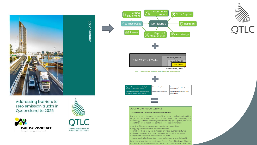





January 2022

QUEENSLAND TRANSPORT<br>AND LOGISTICS COUNCIL





| <b>Total 2025 Truck Market</b> | <b>ICCITILICATIV CANAMIC</b> |                         |  |
|--------------------------------|------------------------------|-------------------------|--|
|                                | Economically viable          |                         |  |
|                                |                              | <b>Likely potential</b> |  |
|                                |                              |                         |  |

Current uptake / sales

Figure 1 - The barriers that constrain ZE truck uptake in the Queensland market



 $\equiv$ 

| High confidence of compatibility for<br>battery electric trucks in 2025     | Urban delivery trucks           | Low frequency stopping waste<br>compactors  |
|-----------------------------------------------------------------------------|---------------------------------|---------------------------------------------|
| Moderate confidence of compatibility<br>for battery electric trucks in 2025 | <b>Regional delivery trucks</b> | High frequency stopping waste<br>compactors |

#### Accelerator opportunity 2

#### Zero emission transport precincts and hubs

Large transport hubs could become ZE transport accelerators to set the stage for early adopters and leader fleets. Demonstrating the technology in action, collecting data, and linking participants, has been one of the best tools to build confidence for decision makers.

• High traffic areas can act as a launch pad by providing:

- · aggregated demand for vehicles and fuels
- · a hub for fleets to try out ZE models provided by manufacturers
- · shared resources & learnings for fleets, industry & government
- · a platform to explore infrastructure solutions
- · a demonstration leadership in new technology and sustainability

Examples where this concept could flourish: Port of Brisbane, Brisbane Markets, Agtech and logistics hub Toowoomba, InterlinkSQ Toowoomba,

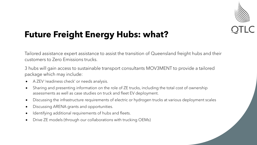

# **Future Freight Energy Hubs: what?**

Tailored assistance expert assistance to assist the transition of Queensland freight hubs and their customers to Zero Emissions trucks.

3 hubs will gain access to sustainable transport consultants MOV3MENT to provide a tailored package which may include:

- A ZEV 'readiness check' or needs analysis.
- Sharing and presenting information on the role of ZE trucks, including the total cost of ownership assessments as well as case studies on truck and fleet EV deployment.
- Discussing the infrastructure requirements of electric or hydrogen trucks at various deployment scales
- Discussing ARENA grants and opportunities.
- Identifying additional requirements of hubs and fleets.
- Drive ZE models (through our collaborations with trucking OEMs)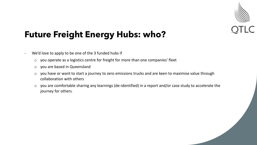

## **Future Freight Energy Hubs: who?**

- We'd love to apply to be one of the 3 funded hubs if
	- o you operate as a logistics centre for freight for more than one companies' fleet
	- o you are based in Queensland
	- o you have or want to start a journey to zero emissions trucks and are keen to maximise value through collaboration with others
	- o you are comfortable sharing any learnings (de-identified) in a report and/or case study to accelerate the journey for others.